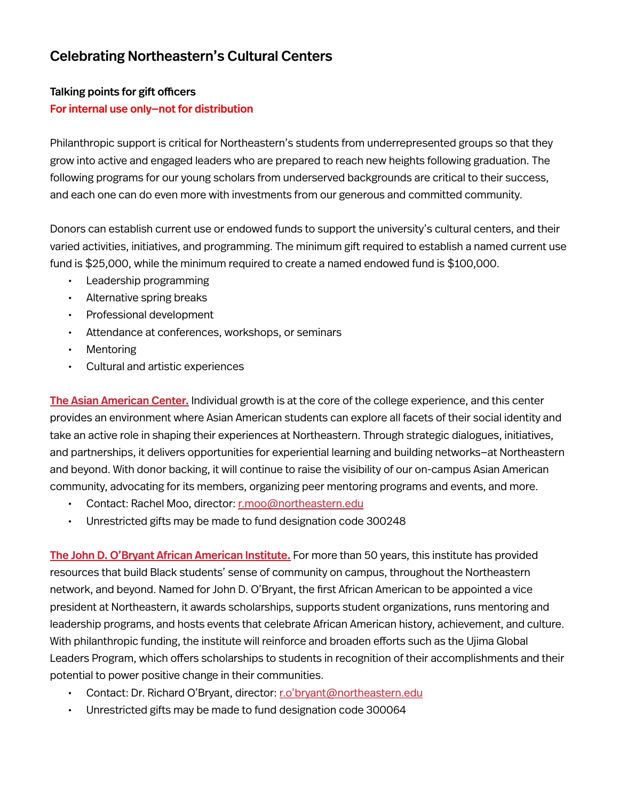# Celebrating Northeastern's Cultural Centers

#### Talking points for gift officers For internal use only—not for distribution

Philanthropic support is critical for Northeastern's students from underrepresented groups so that they grow into active and engaged leaders who are prepared to reach new heights following graduation. The following programs for our young scholars from underserved backgrounds are critical to their success, and each one can do even more with investments from our generous and committed community.

Donors can establish current use or endowed funds to support the university's cultural centers, and their varied activities, initiatives, and programming. The minimum gift required to establish a named current use fund is \$25,000, while the minimum required to create a named endowed fund is \$100,000.

- Leadership programming
- Alternative spring breaks
- Professional development
- Attendance at conferences, workshops, or seminars
- **Mentoring**
- Cultural and artistic experiences

[The Asian American Center.](https://northeastern.edu/diversity/initiatives/asian-american-center/) Individual growth is at the core of the college experience, and this center provides an environment where Asian American students can explore all facets of their social identity and take an active role in shaping their experiences at Northeastern. Through strategic dialogues, initiatives, and partnerships, it delivers opportunities for experiential learning and building networks—at Northeastern and beyond. With donor backing, it will continue to raise the visibility of our on-campus Asian American community, advocating for its members, organizing peer mentoring programs and events, and more.

- Contact: Rachel Moo, director: [r.moo@northeastern.edu](mailto:r.moo%40northeastern.edu?subject=)
- Unrestricted gifts may be made to fund designation code 300248

[The John D. O'Bryant African American Institute.](https://www.northeastern.edu/aai/) For more than 50 years, this institute has provided resources that build Black students' sense of community on campus, throughout the Northeastern network, and beyond. Named for John D. O'Bryant, the first African American to be appointed a vice president at Northeastern, it awards scholarships, supports student organizations, runs mentoring and leadership programs, and hosts events that celebrate African American history, achievement, and culture. With philanthropic funding, the institute will reinforce and broaden efforts such as the Ujima Global Leaders Program, which offers scholarships to students in recognition of their accomplishments and their potential to power positive change in their communities.

- Contact: Dr. Richard O'Bryant, director: [r.o'bryant@northeastern.edu](mailto:?subject=)
- Unrestricted gifts may be made to fund designation code 300064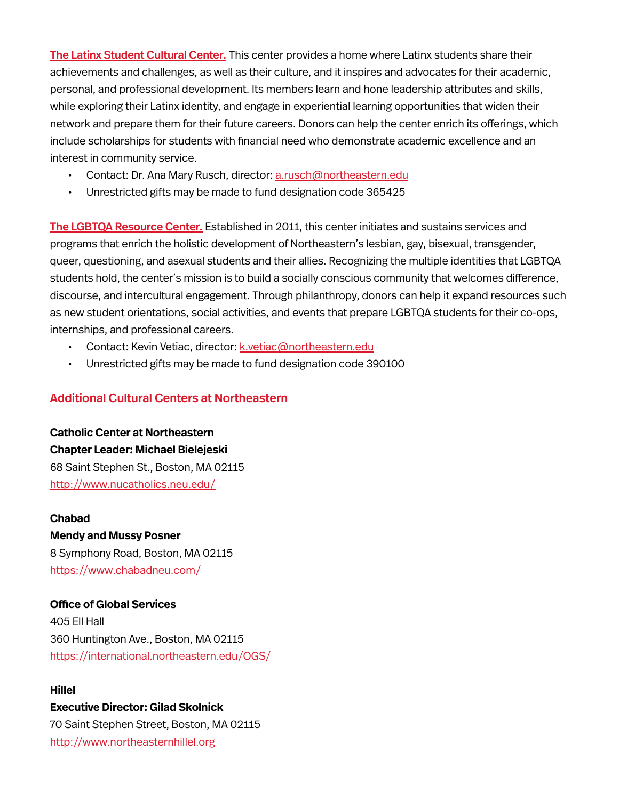[The Latinx Student Cultural Center.](https://www.northeastern.edu/latinx/) This center provides a home where Latinx students share their achievements and challenges, as well as their culture, and it inspires and advocates for their academic, personal, and professional development. Its members learn and hone leadership attributes and skills, while exploring their Latinx identity, and engage in experiential learning opportunities that widen their network and prepare them for their future careers. Donors can help the center enrich its offerings, which include scholarships for students with financial need who demonstrate academic excellence and an interest in community service.

- Contact: Dr. Ana Mary Rusch, director: [a.rusch@northeastern.edu](mailto:a.rusch%40northeastern.edu?subject=)
- Unrestricted gifts may be made to fund designation code 365425

[The LGBTQA Resource Center.](https://studentlife.northeastern.edu/lgbtqa/) Established in 2011, this center initiates and sustains services and programs that enrich the holistic development of Northeastern's lesbian, gay, bisexual, transgender, queer, questioning, and asexual students and their allies. Recognizing the multiple identities that LGBTQA students hold, the center's mission is to build a socially conscious community that welcomes difference, discourse, and intercultural engagement. Through philanthropy, donors can help it expand resources such as new student orientations, social activities, and events that prepare LGBTQA students for their co-ops, internships, and professional careers.

- Contact: Kevin Vetiac, director: [k.vetiac@northeastern.edu](mailto:k.vetiac%40northeastern.edu?subject=)
- Unrestricted gifts may be made to fund designation code 390100

#### Additional Cultural Centers at Northeastern

**Catholic Center at Northeastern Chapter Leader: Michael Bielejeski** 68 Saint Stephen St., Boston, MA 02115 [http://www.nucatholics.neu.edu/](http://www.nucatholics.neu.edu/ )

**Chabad Mendy and Mussy Posner** 8 Symphony Road, Boston, MA 02115 [https://www.chabadneu.com/](https://www.chabadneu.com/ )

**Office of Global Services** 405 Ell Hall 360 Huntington Ave., Boston, MA 02115 [https://international.northeastern.edu/OGS/](https://international.northeastern.edu/OGS/ )

#### **Hillel**

### **Executive Director: Gilad Skolnick** 70 Saint Stephen Street, Boston, MA 02115 [http://www.northeasternhillel.org](http://www.northeasternhillel.org )